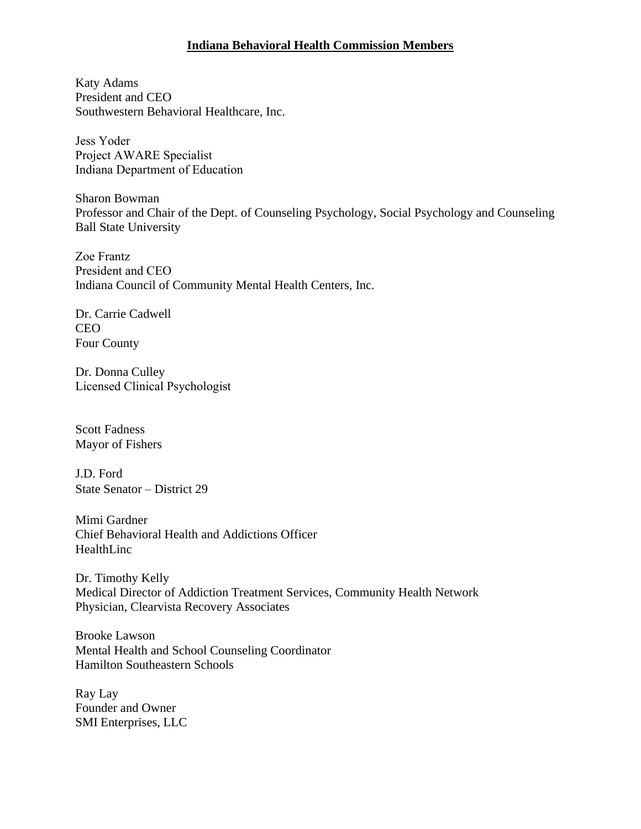## **Indiana Behavioral Health Commission Members**

Katy Adams President and CEO Southwestern Behavioral Healthcare, Inc.

Jess Yoder Project AWARE Specialist Indiana Department of Education

Sharon Bowman Professor and Chair of the Dept. of Counseling Psychology, Social Psychology and Counseling Ball State University

Zoe Frantz President and CEO Indiana Council of Community Mental Health Centers, Inc.

Dr. Carrie Cadwell CEO Four County

Dr. Donna Culley Licensed Clinical Psychologist

Scott Fadness Mayor of Fishers

J.D. Ford State Senator – District 29

Mimi Gardner Chief Behavioral Health and Addictions Officer HealthLinc

Dr. Timothy Kelly Medical Director of Addiction Treatment Services, Community Health Network Physician, Clearvista Recovery Associates

Brooke Lawson Mental Health and School Counseling Coordinator Hamilton Southeastern Schools

Ray Lay Founder and Owner SMI Enterprises, LLC